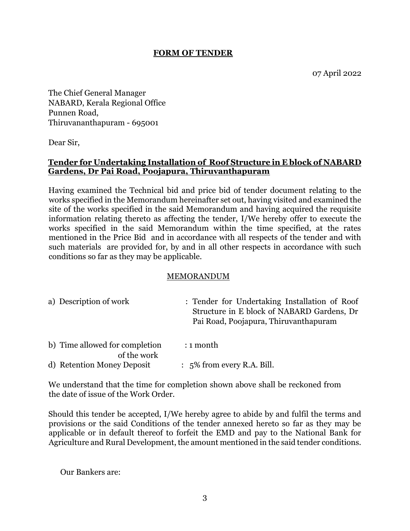#### **FORM OF TENDER**

The Chief General Manager NABARD, Kerala Regional Office Punnen Road, Thiruvananthapuram - 695001

Dear Sir,

#### **Tender for Undertaking Installation of Roof Structure in E block of NABARD Gardens, Dr Pai Road, Poojapura, Thiruvanthapuram**

Having examined the Technical bid and price bid of tender document relating to the works specified in the Memorandum hereinafter set out, having visited and examined the site of the works specified in the said Memorandum and having acquired the requisite information relating thereto as affecting the tender, I/We hereby offer to execute the works specified in the said Memorandum within the time specified, at the rates mentioned in the Price Bid and in accordance with all respects of the tender and with such materials are provided for, by and in all other respects in accordance with such conditions so far as they may be applicable.

#### MEMORANDUM

| a) Description of work                        | : Tender for Undertaking Installation of Roof<br>Structure in E block of NABARD Gardens, Dr<br>Pai Road, Poojapura, Thiruvanthapuram |
|-----------------------------------------------|--------------------------------------------------------------------------------------------------------------------------------------|
| b) Time allowed for completion<br>of the work | $: 1$ month                                                                                                                          |

We understand that the time for completion shown above shall be reckoned from the date of issue of the Work Order.

d) Retention Money Deposit : 5% from every R.A. Bill.

Should this tender be accepted, I/We hereby agree to abide by and fulfil the terms and provisions or the said Conditions of the tender annexed hereto so far as they may be applicable or in default thereof to forfeit the EMD and pay to the National Bank for Agriculture and Rural Development, the amount mentioned in the said tender conditions.

Our Bankers are: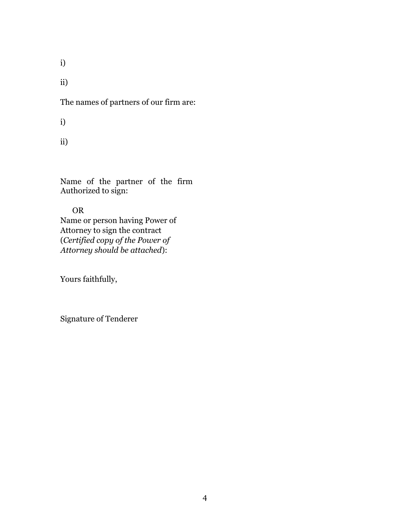i)

ii)

The names of partners of our firm are:

i)

ii)

Name of the partner of the firm Authorized to sign:

## OR

Name or person having Power of Attorney to sign the contract (*Certified copy of the Power of Attorney should be attached*):

Yours faithfully,

Signature of Tenderer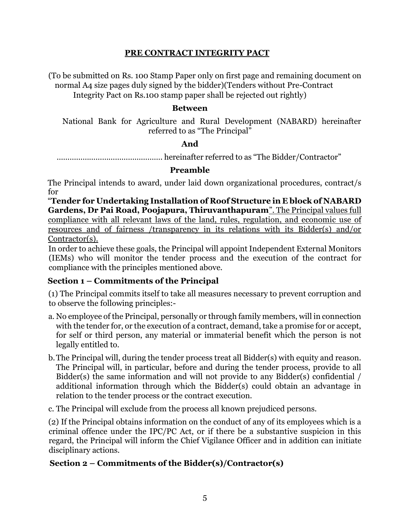#### **PRE CONTRACT INTEGRITY PACT**

(To be submitted on Rs. 100 Stamp Paper only on first page and remaining document on normal A4 size pages duly signed by the bidder)(Tenders without Pre-Contract Integrity Pact on Rs.100 stamp paper shall be rejected out rightly)

#### **Between**

National Bank for Agriculture and Rural Development (NABARD) hereinafter referred to as "The Principal"

#### **And**

…………………………………………. hereinafter referred to as "The Bidder/Contractor"

#### **Preamble**

The Principal intends to award, under laid down organizational procedures, contract/s for

"**Tender for Undertaking Installation of Roof Structure in E block of NABARD Gardens, Dr Pai Road, Poojapura, Thiruvanthapuram**". The Principal values full compliance with all relevant laws of the land, rules, regulation, and economic use of resources and of fairness /transparency in its relations with its Bidder(s) and/or Contractor(s).

In order to achieve these goals, the Principal will appoint Independent External Monitors (IEMs) who will monitor the tender process and the execution of the contract for compliance with the principles mentioned above.

#### **Section 1 – Commitments of the Principal**

(1) The Principal commits itself to take all measures necessary to prevent corruption and to observe the following principles:-

- a. No employee of the Principal, personally or through family members, will in connection with the tender for, or the execution of a contract, demand, take a promise for or accept, for self or third person, any material or immaterial benefit which the person is not legally entitled to.
- b.The Principal will, during the tender process treat all Bidder(s) with equity and reason. The Principal will, in particular, before and during the tender process, provide to all Bidder(s) the same information and will not provide to any Bidder(s) confidential / additional information through which the Bidder(s) could obtain an advantage in relation to the tender process or the contract execution.

c. The Principal will exclude from the process all known prejudiced persons.

(2) If the Principal obtains information on the conduct of any of its employees which is a criminal offence under the IPC/PC Act, or if there be a substantive suspicion in this regard, the Principal will inform the Chief Vigilance Officer and in addition can initiate disciplinary actions.

#### **Section 2 – Commitments of the Bidder(s)/Contractor(s)**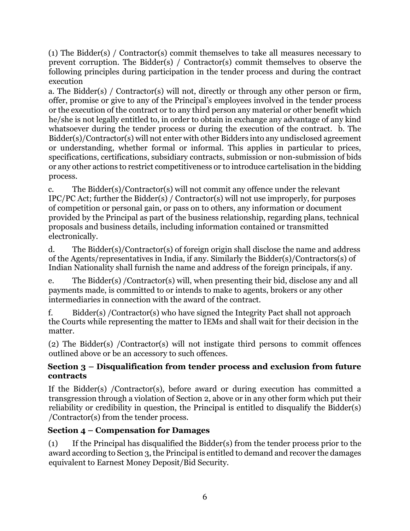(1) The Bidder(s) / Contractor(s) commit themselves to take all measures necessary to prevent corruption. The Bidder(s) / Contractor(s) commit themselves to observe the following principles during participation in the tender process and during the contract execution

a. The Bidder(s) / Contractor(s) will not, directly or through any other person or firm, offer, promise or give to any of the Principal's employees involved in the tender process or the execution of the contract or to any third person any material or other benefit which he/she is not legally entitled to, in order to obtain in exchange any advantage of any kind whatsoever during the tender process or during the execution of the contract. b. The Bidder(s)/Contractor(s) will not enter with other Bidders into any undisclosed agreement or understanding, whether formal or informal. This applies in particular to prices, specifications, certifications, subsidiary contracts, submission or non-submission of bids or any other actions to restrict competitiveness or to introduce cartelisation in the bidding process.

c. The Bidder(s)/Contractor(s) will not commit any offence under the relevant IPC/PC Act; further the Bidder(s) / Contractor(s) will not use improperly, for purposes of competition or personal gain, or pass on to others, any information or document provided by the Principal as part of the business relationship, regarding plans, technical proposals and business details, including information contained or transmitted electronically.

d. The Bidder(s)/Contractor(s) of foreign origin shall disclose the name and address of the Agents/representatives in India, if any. Similarly the Bidder(s)/Contractors(s) of Indian Nationality shall furnish the name and address of the foreign principals, if any.

e. The Bidder(s) /Contractor(s) will, when presenting their bid, disclose any and all payments made, is committed to or intends to make to agents, brokers or any other intermediaries in connection with the award of the contract.

f. Bidder(s) /Contractor(s) who have signed the Integrity Pact shall not approach the Courts while representing the matter to IEMs and shall wait for their decision in the matter.

(2) The Bidder(s) /Contractor(s) will not instigate third persons to commit offences outlined above or be an accessory to such offences.

## **Section 3 – Disqualification from tender process and exclusion from future contracts**

If the Bidder(s) /Contractor(s), before award or during execution has committed a transgression through a violation of Section 2, above or in any other form which put their reliability or credibility in question, the Principal is entitled to disqualify the Bidder(s) /Contractor(s) from the tender process.

## **Section 4 – Compensation for Damages**

(1) If the Principal has disqualified the Bidder(s) from the tender process prior to the award according to Section 3, the Principal is entitled to demand and recover the damages equivalent to Earnest Money Deposit/Bid Security.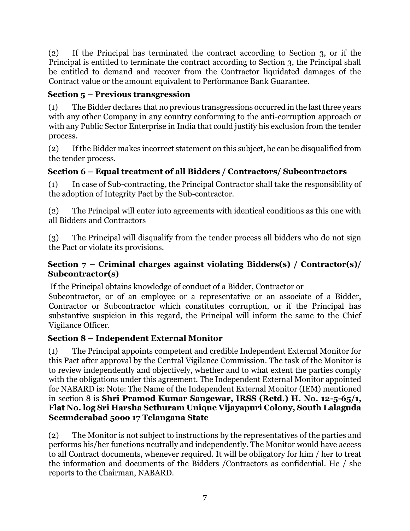(2) If the Principal has terminated the contract according to Section 3, or if the Principal is entitled to terminate the contract according to Section 3, the Principal shall be entitled to demand and recover from the Contractor liquidated damages of the Contract value or the amount equivalent to Performance Bank Guarantee.

## **Section 5 – Previous transgression**

(1) The Bidder declares that no previous transgressions occurred in the last three years with any other Company in any country conforming to the anti-corruption approach or with any Public Sector Enterprise in India that could justify his exclusion from the tender process.

(2) If the Bidder makes incorrect statement on this subject, he can be disqualified from the tender process.

## **Section 6 – Equal treatment of all Bidders / Contractors/ Subcontractors**

(1) In case of Sub-contracting, the Principal Contractor shall take the responsibility of the adoption of Integrity Pact by the Sub-contractor.

(2) The Principal will enter into agreements with identical conditions as this one with all Bidders and Contractors

(3) The Principal will disqualify from the tender process all bidders who do not sign the Pact or violate its provisions.

### **Section 7 – Criminal charges against violating Bidders(s) / Contractor(s)/ Subcontractor(s)**

If the Principal obtains knowledge of conduct of a Bidder, Contractor or

Subcontractor, or of an employee or a representative or an associate of a Bidder, Contractor or Subcontractor which constitutes corruption, or if the Principal has substantive suspicion in this regard, the Principal will inform the same to the Chief Vigilance Officer.

## **Section 8 – Independent External Monitor**

(1) The Principal appoints competent and credible Independent External Monitor for this Pact after approval by the Central Vigilance Commission. The task of the Monitor is to review independently and objectively, whether and to what extent the parties comply with the obligations under this agreement. The Independent External Monitor appointed for NABARD is: Note: The Name of the Independent External Monitor (IEM) mentioned in section 8 is **Shri Pramod Kumar Sangewar, IRSS (Retd.) H. No. 12-5-65/1, Flat No. log Sri Harsha Sethuram Unique Vijayapuri Colony, South Lalaguda Secunderabad 5ooo 17 Telangana State**

(2) The Monitor is not subject to instructions by the representatives of the parties and performs his/her functions neutrally and independently. The Monitor would have access to all Contract documents, whenever required. It will be obligatory for him / her to treat the information and documents of the Bidders /Contractors as confidential. He / she reports to the Chairman, NABARD.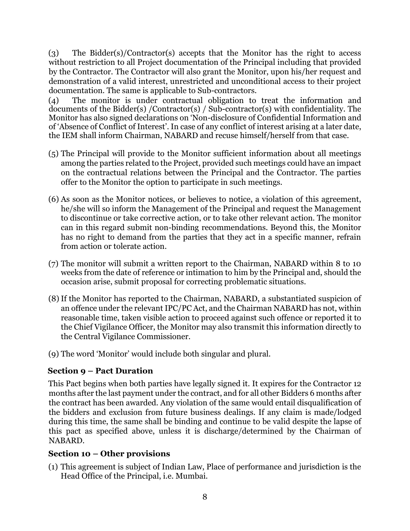(3) The Bidder(s)/Contractor(s) accepts that the Monitor has the right to access without restriction to all Project documentation of the Principal including that provided by the Contractor. The Contractor will also grant the Monitor, upon his/her request and demonstration of a valid interest, unrestricted and unconditional access to their project documentation. The same is applicable to Sub-contractors.

(4) The monitor is under contractual obligation to treat the information and documents of the Bidder(s) /Contractor(s) / Sub-contractor(s) with confidentiality. The Monitor has also signed declarations on 'Non-disclosure of Confidential Information and of 'Absence of Conflict of Interest'. In case of any conflict of interest arising at a later date, the IEM shall inform Chairman, NABARD and recuse himself/herself from that case.

- (5) The Principal will provide to the Monitor sufficient information about all meetings among the parties related to the Project, provided such meetings could have an impact on the contractual relations between the Principal and the Contractor. The parties offer to the Monitor the option to participate in such meetings.
- (6) As soon as the Monitor notices, or believes to notice, a violation of this agreement, he/she will so inform the Management of the Principal and request the Management to discontinue or take corrective action, or to take other relevant action. The monitor can in this regard submit non-binding recommendations. Beyond this, the Monitor has no right to demand from the parties that they act in a specific manner, refrain from action or tolerate action.
- (7) The monitor will submit a written report to the Chairman, NABARD within 8 to 10 weeks from the date of reference or intimation to him by the Principal and, should the occasion arise, submit proposal for correcting problematic situations.
- (8) If the Monitor has reported to the Chairman, NABARD, a substantiated suspicion of an offence under the relevant IPC/PC Act, and the Chairman NABARD has not, within reasonable time, taken visible action to proceed against such offence or reported it to the Chief Vigilance Officer, the Monitor may also transmit this information directly to the Central Vigilance Commissioner.
- (9) The word 'Monitor' would include both singular and plural.

## **Section 9 – Pact Duration**

This Pact begins when both parties have legally signed it. It expires for the Contractor 12 months after the last payment under the contract, and for all other Bidders 6 months after the contract has been awarded. Any violation of the same would entail disqualification of the bidders and exclusion from future business dealings. If any claim is made/lodged during this time, the same shall be binding and continue to be valid despite the lapse of this pact as specified above, unless it is discharge/determined by the Chairman of NABARD.

## **Section 10 – Other provisions**

(1) This agreement is subject of Indian Law, Place of performance and jurisdiction is the Head Office of the Principal, i.e. Mumbai.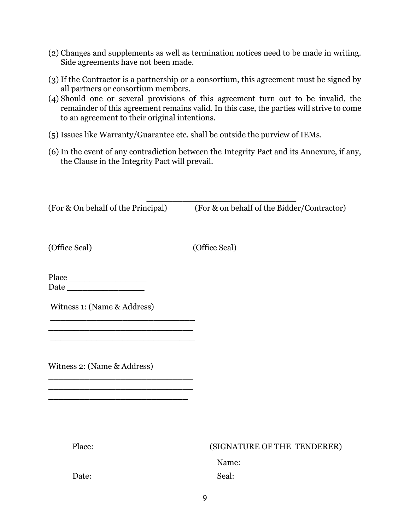- (2) Changes and supplements as well as termination notices need to be made in writing. Side agreements have not been made.
- (3) If the Contractor is a partnership or a consortium, this agreement must be signed by all partners or consortium members.
- (4) Should one or several provisions of this agreement turn out to be invalid, the remainder of this agreement remains valid. In this case, the parties will strive to come to an agreement to their original intentions.
- (5) Issues like Warranty/Guarantee etc. shall be outside the purview of IEMs.
- (6) In the event of any contradiction between the Integrity Pact and its Annexure, if any, the Clause in the Integrity Pact will prevail.

\_\_\_\_\_\_\_\_\_\_\_\_\_\_\_\_\_\_\_\_\_\_\_\_\_\_\_\_\_ (For & On behalf of the Principal) (For & on behalf of the Bidder/Contractor)

(Office Seal) (Office Seal)

Place \_\_\_\_\_\_\_\_\_\_\_\_\_\_\_ Date \_\_\_\_\_\_\_\_\_\_\_\_\_\_\_

Witness 1: (Name & Address)

\_\_\_\_\_\_\_\_\_\_\_\_\_\_\_\_\_\_\_\_\_\_\_\_\_\_\_\_  $\mathcal{L}_\text{max}$ \_\_\_\_\_\_\_\_\_\_\_\_\_\_\_\_\_\_\_\_\_\_\_\_\_\_\_\_

\_\_\_\_\_\_\_\_\_\_\_\_\_\_\_\_\_\_\_\_\_\_\_\_\_\_\_\_ \_\_\_\_\_\_\_\_\_\_\_\_\_\_\_\_\_\_\_\_\_\_\_\_\_\_\_\_ \_\_\_\_\_\_\_\_\_\_\_\_\_\_\_\_\_\_\_\_\_\_\_\_\_\_\_

Witness 2: (Name & Address)

| Place: | (SIGNATURE OF THE TENDERER) |
|--------|-----------------------------|
|        | Name:                       |
| Date:  | Seal:                       |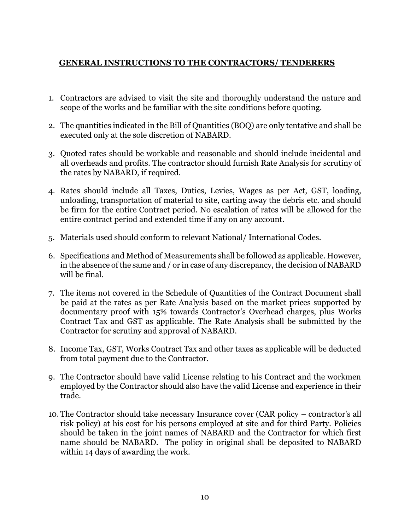## **GENERAL INSTRUCTIONS TO THE CONTRACTORS/ TENDERERS**

- 1. Contractors are advised to visit the site and thoroughly understand the nature and scope of the works and be familiar with the site conditions before quoting.
- 2. The quantities indicated in the Bill of Quantities (BOQ) are only tentative and shall be executed only at the sole discretion of NABARD.
- 3. Quoted rates should be workable and reasonable and should include incidental and all overheads and profits. The contractor should furnish Rate Analysis for scrutiny of the rates by NABARD, if required.
- 4. Rates should include all Taxes, Duties, Levies, Wages as per Act, GST, loading, unloading, transportation of material to site, carting away the debris etc. and should be firm for the entire Contract period. No escalation of rates will be allowed for the entire contract period and extended time if any on any account.
- 5. Materials used should conform to relevant National/ International Codes.
- 6. Specifications and Method of Measurements shall be followed as applicable. However, in the absence of the same and / or in case of any discrepancy, the decision of NABARD will be final.
- 7. The items not covered in the Schedule of Quantities of the Contract Document shall be paid at the rates as per Rate Analysis based on the market prices supported by documentary proof with 15% towards Contractor's Overhead charges, plus Works Contract Tax and GST as applicable. The Rate Analysis shall be submitted by the Contractor for scrutiny and approval of NABARD.
- 8. Income Tax, GST, Works Contract Tax and other taxes as applicable will be deducted from total payment due to the Contractor.
- 9. The Contractor should have valid License relating to his Contract and the workmen employed by the Contractor should also have the valid License and experience in their trade.
- 10. The Contractor should take necessary Insurance cover (CAR policy contractor's all risk policy) at his cost for his persons employed at site and for third Party. Policies should be taken in the joint names of NABARD and the Contractor for which first name should be NABARD. The policy in original shall be deposited to NABARD within 14 days of awarding the work.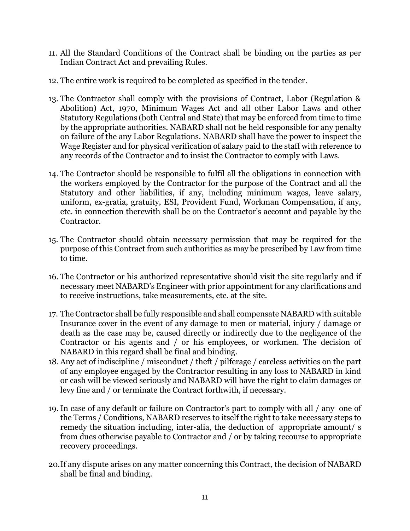- 11. All the Standard Conditions of the Contract shall be binding on the parties as per Indian Contract Act and prevailing Rules.
- 12. The entire work is required to be completed as specified in the tender.
- 13. The Contractor shall comply with the provisions of Contract, Labor (Regulation & Abolition) Act, 1970, Minimum Wages Act and all other Labor Laws and other Statutory Regulations (both Central and State) that may be enforced from time to time by the appropriate authorities. NABARD shall not be held responsible for any penalty on failure of the any Labor Regulations. NABARD shall have the power to inspect the Wage Register and for physical verification of salary paid to the staff with reference to any records of the Contractor and to insist the Contractor to comply with Laws.
- 14. The Contractor should be responsible to fulfil all the obligations in connection with the workers employed by the Contractor for the purpose of the Contract and all the Statutory and other liabilities, if any, including minimum wages, leave salary, uniform, ex-gratia, gratuity, ESI, Provident Fund, Workman Compensation, if any, etc. in connection therewith shall be on the Contractor's account and payable by the Contractor.
- 15. The Contractor should obtain necessary permission that may be required for the purpose of this Contract from such authorities as may be prescribed by Law from time to time.
- 16. The Contractor or his authorized representative should visit the site regularly and if necessary meet NABARD's Engineer with prior appointment for any clarifications and to receive instructions, take measurements, etc. at the site.
- 17. The Contractor shall be fully responsible and shall compensate NABARD with suitable Insurance cover in the event of any damage to men or material, injury / damage or death as the case may be, caused directly or indirectly due to the negligence of the Contractor or his agents and / or his employees, or workmen. The decision of NABARD in this regard shall be final and binding.
- 18. Any act of indiscipline / misconduct / theft / pilferage / careless activities on the part of any employee engaged by the Contractor resulting in any loss to NABARD in kind or cash will be viewed seriously and NABARD will have the right to claim damages or levy fine and / or terminate the Contract forthwith, if necessary.
- 19. In case of any default or failure on Contractor's part to comply with all / any one of the Terms / Conditions, NABARD reserves to itself the right to take necessary steps to remedy the situation including, inter-alia, the deduction of appropriate amount/ s from dues otherwise payable to Contractor and / or by taking recourse to appropriate recovery proceedings.
- 20.If any dispute arises on any matter concerning this Contract, the decision of NABARD shall be final and binding.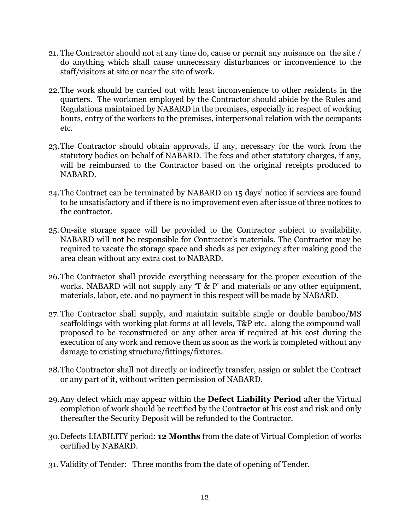- 21. The Contractor should not at any time do, cause or permit any nuisance on the site / do anything which shall cause unnecessary disturbances or inconvenience to the staff/visitors at site or near the site of work.
- 22.The work should be carried out with least inconvenience to other residents in the quarters. The workmen employed by the Contractor should abide by the Rules and Regulations maintained by NABARD in the premises, especially in respect of working hours, entry of the workers to the premises, interpersonal relation with the occupants etc.
- 23.The Contractor should obtain approvals, if any, necessary for the work from the statutory bodies on behalf of NABARD. The fees and other statutory charges, if any, will be reimbursed to the Contractor based on the original receipts produced to NABARD.
- 24.The Contract can be terminated by NABARD on 15 days' notice if services are found to be unsatisfactory and if there is no improvement even after issue of three notices to the contractor.
- 25.On-site storage space will be provided to the Contractor subject to availability. NABARD will not be responsible for Contractor's materials. The Contractor may be required to vacate the storage space and sheds as per exigency after making good the area clean without any extra cost to NABARD.
- 26.The Contractor shall provide everything necessary for the proper execution of the works. NABARD will not supply any 'T & P' and materials or any other equipment, materials, labor, etc. and no payment in this respect will be made by NABARD.
- 27. The Contractor shall supply, and maintain suitable single or double bamboo/MS scaffoldings with working plat forms at all levels, T&P etc. along the compound wall proposed to be reconstructed or any other area if required at his cost during the execution of any work and remove them as soon as the work is completed without any damage to existing structure/fittings/fixtures.
- 28.The Contractor shall not directly or indirectly transfer, assign or sublet the Contract or any part of it, without written permission of NABARD.
- 29.Any defect which may appear within the **Defect Liability Period** after the Virtual completion of work should be rectified by the Contractor at his cost and risk and only thereafter the Security Deposit will be refunded to the Contractor.
- 30.Defects LIABILITY period: **12 Months** from the date of Virtual Completion of works certified by NABARD.
- 31. Validity of Tender: Three months from the date of opening of Tender.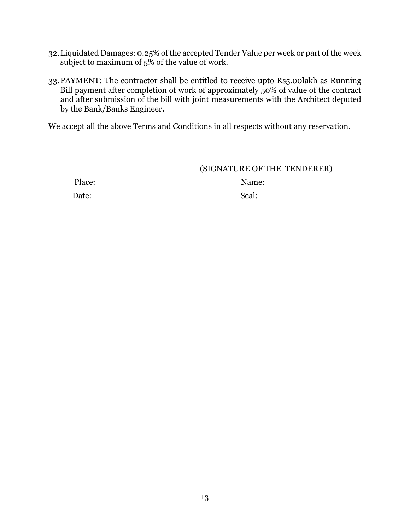- 32.Liquidated Damages: 0.25% of the accepted Tender Value per week or part of the week subject to maximum of 5% of the value of work.
- 33.PAYMENT: The contractor shall be entitled to receive upto Rs5.00lakh as Running Bill payment after completion of work of approximately 50% of value of the contract and after submission of the bill with joint measurements with the Architect deputed by the Bank/Banks Engineer**.**

We accept all the above Terms and Conditions in all respects without any reservation.

#### (SIGNATURE OF THE TENDERER)

Date: Seal:

Place: Name: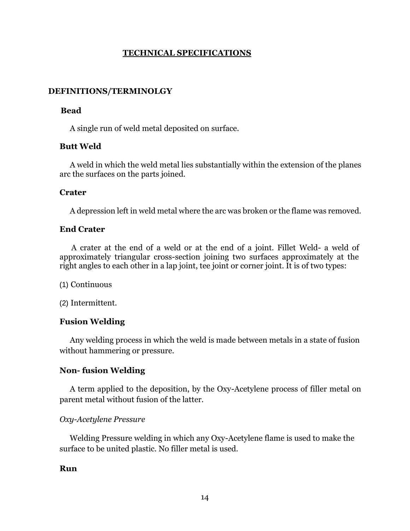#### **TECHNICAL SPECIFICATIONS**

#### **DEFINITIONS/TERMINOLGY**

#### **Bead**

A single run of weld metal deposited on surface.

#### **Butt Weld**

A weld in which the weld metal lies substantially within the extension of the planes arc the surfaces on the parts joined.

#### **Crater**

A depression left in weld metal where the arc was broken or the flame was removed.

#### **End Crater**

A crater at the end of a weld or at the end of a joint. Fillet Weld- a weld of approximately triangular cross-section joining two surfaces approximately at the right angles to each other in a lap joint, tee joint or corner joint. It is of two types:

(1) Continuous

(2) Intermittent.

#### **Fusion Welding**

Any welding process in which the weld is made between metals in a state of fusion without hammering or pressure.

#### **Non- fusion Welding**

A term applied to the deposition, by the Oxy-Acetylene process of filler metal on parent metal without fusion of the latter.

#### *Oxy-Acetylene Pressure*

Welding Pressure welding in which any Oxy-Acetylene flame is used to make the surface to be united plastic. No filler metal is used.

#### **Run**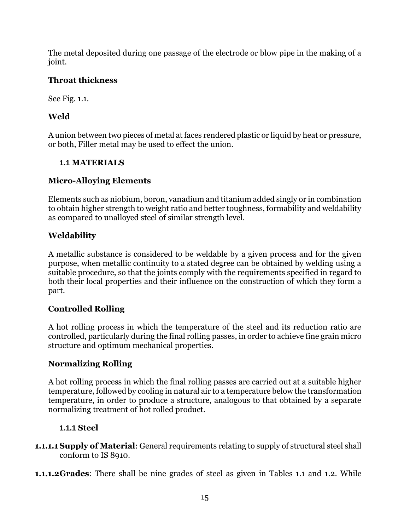The metal deposited during one passage of the electrode or blow pipe in the making of a joint.

## **Throat thickness**

See Fig. 1.1.

## **Weld**

A union between two pieces of metal at faces rendered plastic or liquid by heat or pressure, or both, Filler metal may be used to effect the union.

## **1.1 MATERIALS**

## **Micro-Alloying Elements**

Elements such as niobium, boron, vanadium and titanium added singly or in combination to obtain higher strength to weight ratio and better toughness, formability and weldability as compared to unalloyed steel of similar strength level.

## **Weldability**

A metallic substance is considered to be weldable by a given process and for the given purpose, when metallic continuity to a stated degree can be obtained by welding using a suitable procedure, so that the joints comply with the requirements specified in regard to both their local properties and their influence on the construction of which they form a part.

## **Controlled Rolling**

A hot rolling process in which the temperature of the steel and its reduction ratio are controlled, particularly during the final rolling passes, in order to achieve fine grain micro structure and optimum mechanical properties.

#### **Normalizing Rolling**

A hot rolling process in which the final rolling passes are carried out at a suitable higher temperature, followed by cooling in natural air to a temperature below the transformation temperature, in order to produce a structure, analogous to that obtained by a separate normalizing treatment of hot rolled product.

## **1.1.1 Steel**

- **1.1.1.1 Supply of Material**: General requirements relating to supply of structural steel shall conform to IS 8910.
- **1.1.1.2Grades**: There shall be nine grades of steel as given in Tables 1.1 and 1.2. While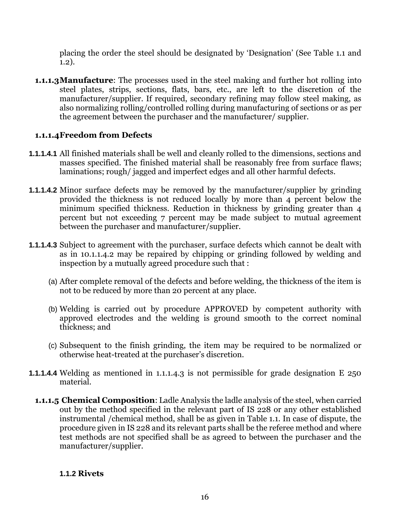placing the order the steel should be designated by 'Designation' (See Table 1.1 and 1.2).

**1.1.1.3Manufacture**: The processes used in the steel making and further hot rolling into steel plates, strips, sections, flats, bars, etc., are left to the discretion of the manufacturer/supplier. If required, secondary refining may follow steel making, as also normalizing rolling/controlled rolling during manufacturing of sections or as per the agreement between the purchaser and the manufacturer/ supplier.

## **1.1.1.4Freedom from Defects**

- **1.1.1.4.1** All finished materials shall be well and cleanly rolled to the dimensions, sections and masses specified. The finished material shall be reasonably free from surface flaws; laminations; rough/ jagged and imperfect edges and all other harmful defects.
- **1.1.1.4.2** Minor surface defects may be removed by the manufacturer/supplier by grinding provided the thickness is not reduced locally by more than 4 percent below the minimum specified thickness. Reduction in thickness by grinding greater than 4 percent but not exceeding 7 percent may be made subject to mutual agreement between the purchaser and manufacturer/supplier.
- **1.1.1.4.3** Subject to agreement with the purchaser, surface defects which cannot be dealt with as in 10.1.1.4.2 may be repaired by chipping or grinding followed by welding and inspection by a mutually agreed procedure such that :
	- (a) After complete removal of the defects and before welding, the thickness of the item is not to be reduced by more than 20 percent at any place.
	- (b) Welding is carried out by procedure APPROVED by competent authority with approved electrodes and the welding is ground smooth to the correct nominal thickness; and
	- (c) Subsequent to the finish grinding, the item may be required to be normalized or otherwise heat-treated at the purchaser's discretion.
- **1.1.1.4.4** Welding as mentioned in 1.1.1.4.3 is not permissible for grade designation E 250 material.
	- **1.1.1.5 Chemical Composition**: Ladle Analysis the ladle analysis of the steel, when carried out by the method specified in the relevant part of IS 228 or any other established instrumental /chemical method, shall be as given in Table 1.1. In case of dispute, the procedure given in IS 228 and its relevant parts shall be the referee method and where test methods are not specified shall be as agreed to between the purchaser and the manufacturer/supplier.

#### **1.1.2 Rivets**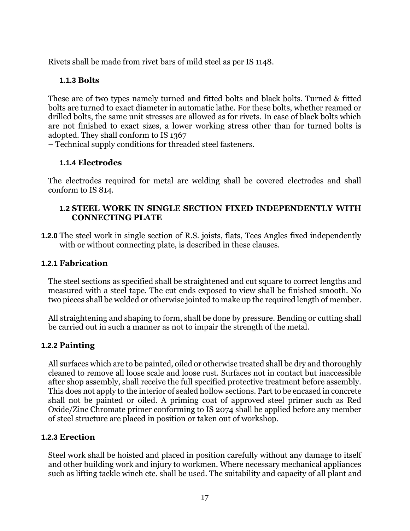Rivets shall be made from rivet bars of mild steel as per IS 1148.

#### **1.1.3 Bolts**

These are of two types namely turned and fitted bolts and black bolts. Turned & fitted bolts are turned to exact diameter in automatic lathe. For these bolts, whether reamed or drilled bolts, the same unit stresses are allowed as for rivets. In case of black bolts which are not finished to exact sizes, a lower working stress other than for turned bolts is adopted. They shall conform to IS 1367

– Technical supply conditions for threaded steel fasteners.

## **1.1.4 Electrodes**

The electrodes required for metal arc welding shall be covered electrodes and shall conform to IS 814.

#### **1.2 STEEL WORK IN SINGLE SECTION FIXED INDEPENDENTLY WITH CONNECTING PLATE**

**1.2.0** The steel work in single section of R.S. joists, flats, Tees Angles fixed independently with or without connecting plate, is described in these clauses.

#### **1.2.1 Fabrication**

The steel sections as specified shall be straightened and cut square to correct lengths and measured with a steel tape. The cut ends exposed to view shall be finished smooth. No two pieces shall be welded or otherwise jointed to make up the required length of member.

All straightening and shaping to form, shall be done by pressure. Bending or cutting shall be carried out in such a manner as not to impair the strength of the metal.

#### **1.2.2 Painting**

All surfaces which are to be painted, oiled or otherwise treated shall be dry and thoroughly cleaned to remove all loose scale and loose rust. Surfaces not in contact but inaccessible after shop assembly, shall receive the full specified protective treatment before assembly. This does not apply to the interior of sealed hollow sections. Part to be encased in concrete shall not be painted or oiled. A priming coat of approved steel primer such as Red Oxide/Zinc Chromate primer conforming to IS 2074 shall be applied before any member of steel structure are placed in position or taken out of workshop.

#### **1.2.3 Erection**

Steel work shall be hoisted and placed in position carefully without any damage to itself and other building work and injury to workmen. Where necessary mechanical appliances such as lifting tackle winch etc. shall be used. The suitability and capacity of all plant and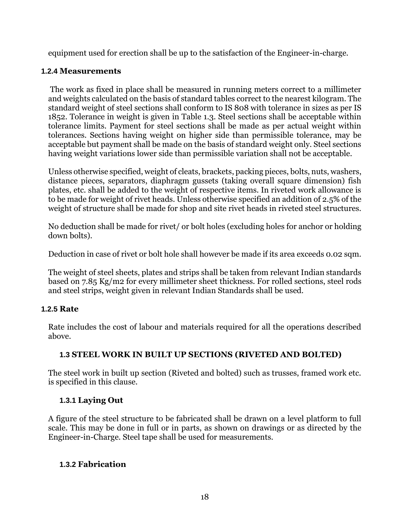equipment used for erection shall be up to the satisfaction of the Engineer-in-charge.

#### **1.2.4 Measurements**

The work as fixed in place shall be measured in running meters correct to a millimeter and weights calculated on the basis of standard tables correct to the nearest kilogram. The standard weight of steel sections shall conform to IS 808 with tolerance in sizes as per IS 1852. Tolerance in weight is given in Table 1.3. Steel sections shall be acceptable within tolerance limits. Payment for steel sections shall be made as per actual weight within tolerances. Sections having weight on higher side than permissible tolerance, may be acceptable but payment shall be made on the basis of standard weight only. Steel sections having weight variations lower side than permissible variation shall not be acceptable.

Unless otherwise specified, weight of cleats, brackets, packing pieces, bolts, nuts, washers, distance pieces, separators, diaphragm gussets (taking overall square dimension) fish plates, etc. shall be added to the weight of respective items. In riveted work allowance is to be made for weight of rivet heads. Unless otherwise specified an addition of 2.5% of the weight of structure shall be made for shop and site rivet heads in riveted steel structures.

No deduction shall be made for rivet/ or bolt holes (excluding holes for anchor or holding down bolts).

Deduction in case of rivet or bolt hole shall however be made if its area exceeds 0.02 sqm.

The weight of steel sheets, plates and strips shall be taken from relevant Indian standards based on 7.85 Kg/m2 for every millimeter sheet thickness. For rolled sections, steel rods and steel strips, weight given in relevant Indian Standards shall be used.

#### **1.2.5 Rate**

Rate includes the cost of labour and materials required for all the operations described above.

#### **1.3 STEEL WORK IN BUILT UP SECTIONS (RIVETED AND BOLTED)**

The steel work in built up section (Riveted and bolted) such as trusses, framed work etc. is specified in this clause.

#### **1.3.1 Laying Out**

A figure of the steel structure to be fabricated shall be drawn on a level platform to full scale. This may be done in full or in parts, as shown on drawings or as directed by the Engineer-in-Charge. Steel tape shall be used for measurements.

#### **1.3.2 Fabrication**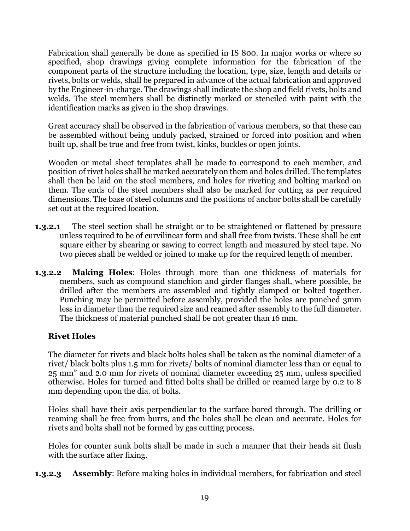Fabrication shall generally be done as specified in IS 800. In major works or where so specified, shop drawings giving complete information for the fabrication of the component parts of the structure including the location, type, size, length and details or rivets, bolts or welds, shall be prepared in advance of the actual fabrication and approved by the Engineer-in-charge. The drawings shall indicate the shop and field rivets, bolts and welds. The steel members shall be distinctly marked or stenciled with paint with the identification marks as given in the shop drawings.

Great accuracy shall be observed in the fabrication of various members, so that these can be assembled without being unduly packed, strained or forced into position and when built up, shall be true and free from twist, kinks, buckles or open joints.

Wooden or metal sheet templates shall be made to correspond to each member, and position of rivet holes shall be marked accurately on them and holes drilled. The templates shall then be laid on the steel members, and holes for riveting and bolting marked on them. The ends of the steel members shall also be marked for cutting as per required dimensions. The base of steel columns and the positions of anchor bolts shall be carefully set out at the required location.

- **1.3.2.1** The steel section shall be straight or to be straightened or flattened by pressure unless required to be of curvilinear form and shall free from twists. These shall be cut square either by shearing or sawing to correct length and measured by steel tape. No two pieces shall be welded or joined to make up for the required length of member.
- **1.3.2.2 Making Holes**: Holes through more than one thickness of materials for members, such as compound stanchion and girder flanges shall, where possible, be drilled after the members are assembled and tightly clamped or bolted together. Punching may be permitted before assembly, provided the holes are punched 3mm less in diameter than the required size and reamed after assembly to the full diameter. The thickness of material punched shall be not greater than 16 mm.

#### **Rivet Holes**

The diameter for rivets and black bolts holes shall be taken as the nominal diameter of a rivet/ black bolts plus 1.5 mm for rivets/ bolts of nominal diameter less than or equal to 25 mm" and 2.0 mm for rivets of nominal diameter exceeding 25 mm, unless specified otherwise. Holes for turned and fitted bolts shall be drilled or reamed large by 0.2 to 8 mm depending upon the dia. of bolts.

Holes shall have their axis perpendicular to the surface bored through. The drilling or reaming shall be free from burrs, and the holes shall be clean and accurate. Holes for rivets and bolts shall not be formed by gas cutting process.

Holes for counter sunk bolts shall be made in such a manner that their heads sit flush with the surface after fixing.

**1.3.2.3 Assembly**: Before making holes in individual members, for fabrication and steel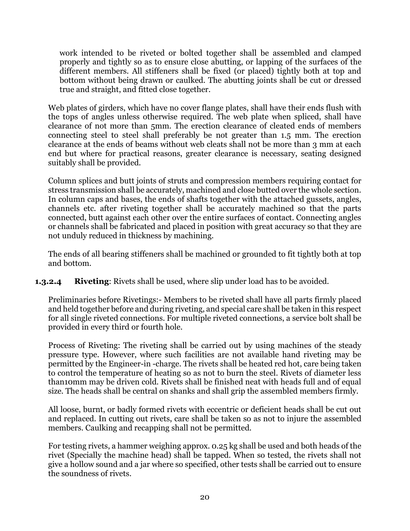work intended to be riveted or bolted together shall be assembled and clamped properly and tightly so as to ensure close abutting, or lapping of the surfaces of the different members. All stiffeners shall be fixed (or placed) tightly both at top and bottom without being drawn or caulked. The abutting joints shall be cut or dressed true and straight, and fitted close together.

Web plates of girders, which have no cover flange plates, shall have their ends flush with the tops of angles unless otherwise required. The web plate when spliced, shall have clearance of not more than 5mm. The erection clearance of cleated ends of members connecting steel to steel shall preferably be not greater than 1.5 mm. The erection clearance at the ends of beams without web cleats shall not be more than 3 mm at each end but where for practical reasons, greater clearance is necessary, seating designed suitably shall be provided.

Column splices and butt joints of struts and compression members requiring contact for stress transmission shall be accurately, machined and close butted over the whole section. In column caps and bases, the ends of shafts together with the attached gussets, angles, channels etc. after riveting together shall be accurately machined so that the parts connected, butt against each other over the entire surfaces of contact. Connecting angles or channels shall be fabricated and placed in position with great accuracy so that they are not unduly reduced in thickness by machining.

The ends of all bearing stiffeners shall be machined or grounded to fit tightly both at top and bottom.

**1.3.2.4 Riveting**: Rivets shall be used, where slip under load has to be avoided.

Preliminaries before Rivetings:- Members to be riveted shall have all parts firmly placed and held together before and during riveting, and special care shall be taken in this respect for all single riveted connections. For multiple riveted connections, a service bolt shall be provided in every third or fourth hole.

Process of Riveting: The riveting shall be carried out by using machines of the steady pressure type. However, where such facilities are not available hand riveting may be permitted by the Engineer-in -charge. The rivets shall be heated red hot, care being taken to control the temperature of heating so as not to burn the steel. Rivets of diameter less than10mm may be driven cold. Rivets shall be finished neat with heads full and of equal size. The heads shall be central on shanks and shall grip the assembled members firmly.

All loose, burnt, or badly formed rivets with eccentric or deficient heads shall be cut out and replaced. In cutting out rivets, care shall be taken so as not to injure the assembled members. Caulking and recapping shall not be permitted.

For testing rivets, a hammer weighing approx. 0.25 kg shall be used and both heads of the rivet (Specially the machine head) shall be tapped. When so tested, the rivets shall not give a hollow sound and a jar where so specified, other tests shall be carried out to ensure the soundness of rivets.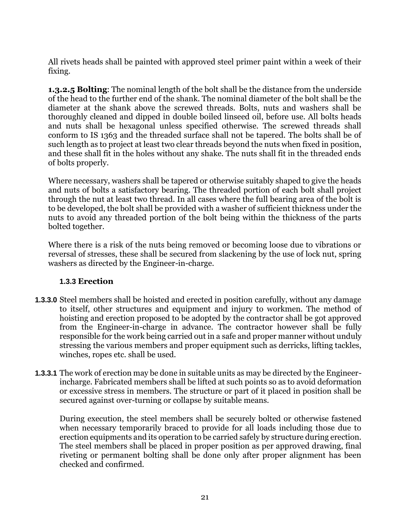All rivets heads shall be painted with approved steel primer paint within a week of their fixing.

**1.3.2.5 Bolting**: The nominal length of the bolt shall be the distance from the underside of the head to the further end of the shank. The nominal diameter of the bolt shall be the diameter at the shank above the screwed threads. Bolts, nuts and washers shall be thoroughly cleaned and dipped in double boiled linseed oil, before use. All bolts heads and nuts shall be hexagonal unless specified otherwise. The screwed threads shall conform to IS 1363 and the threaded surface shall not be tapered. The bolts shall be of such length as to project at least two clear threads beyond the nuts when fixed in position, and these shall fit in the holes without any shake. The nuts shall fit in the threaded ends of bolts properly.

Where necessary, washers shall be tapered or otherwise suitably shaped to give the heads and nuts of bolts a satisfactory bearing. The threaded portion of each bolt shall project through the nut at least two thread. In all cases where the full bearing area of the bolt is to be developed, the bolt shall be provided with a washer of sufficient thickness under the nuts to avoid any threaded portion of the bolt being within the thickness of the parts bolted together.

Where there is a risk of the nuts being removed or becoming loose due to vibrations or reversal of stresses, these shall be secured from slackening by the use of lock nut, spring washers as directed by the Engineer-in-charge.

#### **1.3.3 Erection**

- **1.3.3.0** Steel members shall be hoisted and erected in position carefully, without any damage to itself, other structures and equipment and injury to workmen. The method of hoisting and erection proposed to be adopted by the contractor shall be got approved from the Engineer-in-charge in advance. The contractor however shall be fully responsible for the work being carried out in a safe and proper manner without unduly stressing the various members and proper equipment such as derricks, lifting tackles, winches, ropes etc. shall be used.
- **1.3.3.1** The work of erection may be done in suitable units as may be directed by the Engineerincharge. Fabricated members shall be lifted at such points so as to avoid deformation or excessive stress in members. The structure or part of it placed in position shall be secured against over-turning or collapse by suitable means.

During execution, the steel members shall be securely bolted or otherwise fastened when necessary temporarily braced to provide for all loads including those due to erection equipments and its operation to be carried safely by structure during erection. The steel members shall be placed in proper position as per approved drawing, final riveting or permanent bolting shall be done only after proper alignment has been checked and confirmed.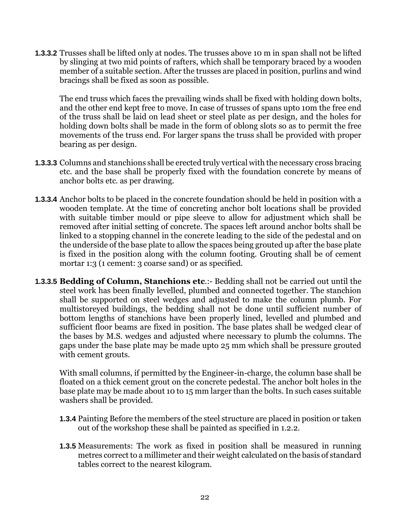**1.3.3.2** Trusses shall be lifted only at nodes. The trusses above 10 m in span shall not be lifted by slinging at two mid points of rafters, which shall be temporary braced by a wooden member of a suitable section. After the trusses are placed in position, purlins and wind bracings shall be fixed as soon as possible.

The end truss which faces the prevailing winds shall be fixed with holding down bolts, and the other end kept free to move. In case of trusses of spans upto 10m the free end of the truss shall be laid on lead sheet or steel plate as per design, and the holes for holding down bolts shall be made in the form of oblong slots so as to permit the free movements of the truss end. For larger spans the truss shall be provided with proper bearing as per design.

- **1.3.3.3** Columns and stanchions shall be erected truly vertical with the necessary cross bracing etc. and the base shall be properly fixed with the foundation concrete by means of anchor bolts etc. as per drawing.
- **1.3.3.4** Anchor bolts to be placed in the concrete foundation should be held in position with a wooden template. At the time of concreting anchor bolt locations shall be provided with suitable timber mould or pipe sleeve to allow for adjustment which shall be removed after initial setting of concrete. The spaces left around anchor bolts shall be linked to a stopping channel in the concrete leading to the side of the pedestal and on the underside of the base plate to allow the spaces being grouted up after the base plate is fixed in the position along with the column footing. Grouting shall be of cement mortar 1:3 (1 cement: 3 coarse sand) or as specified.
- **1.3.3.5 Bedding of Column, Stanchions etc**.:- Bedding shall not be carried out until the steel work has been finally levelled, plumbed and connected together. The stanchion shall be supported on steel wedges and adjusted to make the column plumb. For multistoreyed buildings, the bedding shall not be done until sufficient number of bottom lengths of stanchions have been properly lined, levelled and plumbed and sufficient floor beams are fixed in position. The base plates shall be wedged clear of the bases by M.S. wedges and adjusted where necessary to plumb the columns. The gaps under the base plate may be made upto 25 mm which shall be pressure grouted with cement grouts.

With small columns, if permitted by the Engineer-in-charge, the column base shall be floated on a thick cement grout on the concrete pedestal. The anchor bolt holes in the base plate may be made about 10 to 15 mm larger than the bolts. In such cases suitable washers shall be provided.

- **1.3.4** Painting Before the members of the steel structure are placed in position or taken out of the workshop these shall be painted as specified in 1.2.2.
- **1.3.5** Measurements: The work as fixed in position shall be measured in running metres correct to a millimeter and their weight calculated on the basis of standard tables correct to the nearest kilogram.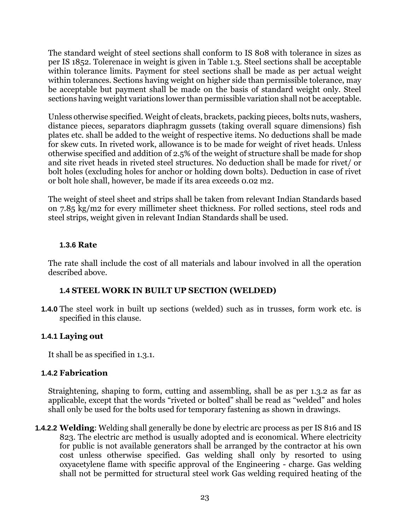The standard weight of steel sections shall conform to IS 808 with tolerance in sizes as per IS 1852. Tolerenace in weight is given in Table 1.3. Steel sections shall be acceptable within tolerance limits. Payment for steel sections shall be made as per actual weight within tolerances. Sections having weight on higher side than permissible tolerance, may be acceptable but payment shall be made on the basis of standard weight only. Steel sections having weight variations lower than permissible variation shall not be acceptable.

Unless otherwise specified. Weight of cleats, brackets, packing pieces, bolts nuts, washers, distance pieces, separators diaphragm gussets (taking overall square dimensions) fish plates etc. shall be added to the weight of respective items. No deductions shall be made for skew cuts. In riveted work, allowance is to be made for weight of rivet heads. Unless otherwise specified and addition of 2.5% of the weight of structure shall be made for shop and site rivet heads in riveted steel structures. No deduction shall be made for rivet/ or bolt holes (excluding holes for anchor or holding down bolts). Deduction in case of rivet or bolt hole shall, however, be made if its area exceeds 0.02 m2.

The weight of steel sheet and strips shall be taken from relevant Indian Standards based on 7.85 kg/m2 for every millimeter sheet thickness. For rolled sections, steel rods and steel strips, weight given in relevant Indian Standards shall be used.

#### **1.3.6 Rate**

The rate shall include the cost of all materials and labour involved in all the operation described above.

#### **1.4 STEEL WORK IN BUILT UP SECTION (WELDED)**

**1.4.0** The steel work in built up sections (welded) such as in trusses, form work etc. is specified in this clause.

#### **1.4.1 Laying out**

It shall be as specified in 1.3.1.

#### **1.4.2 Fabrication**

Straightening, shaping to form, cutting and assembling, shall be as per 1.3.2 as far as applicable, except that the words "riveted or bolted" shall be read as "welded" and holes shall only be used for the bolts used for temporary fastening as shown in drawings.

**1.4.2.2 Welding**: Welding shall generally be done by electric arc process as per IS 816 and IS 823. The electric arc method is usually adopted and is economical. Where electricity for public is not available generators shall be arranged by the contractor at his own cost unless otherwise specified. Gas welding shall only by resorted to using oxyacetylene flame with specific approval of the Engineering - charge. Gas welding shall not be permitted for structural steel work Gas welding required heating of the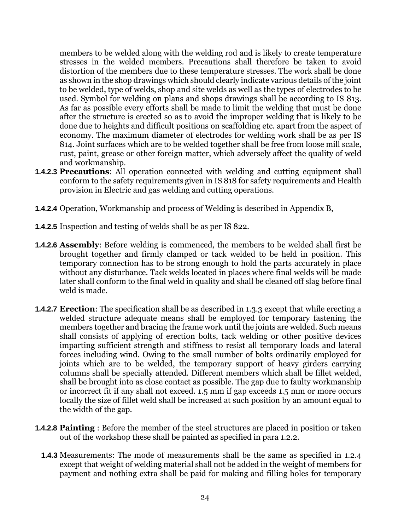members to be welded along with the welding rod and is likely to create temperature stresses in the welded members. Precautions shall therefore be taken to avoid distortion of the members due to these temperature stresses. The work shall be done as shown in the shop drawings which should clearly indicate various details of the joint to be welded, type of welds, shop and site welds as well as the types of electrodes to be used. Symbol for welding on plans and shops drawings shall be according to IS 813. As far as possible every efforts shall be made to limit the welding that must be done after the structure is erected so as to avoid the improper welding that is likely to be done due to heights and difficult positions on scaffolding etc. apart from the aspect of economy. The maximum diameter of electrodes for welding work shall be as per IS 814. Joint surfaces which are to be welded together shall be free from loose mill scale, rust, paint, grease or other foreign matter, which adversely affect the quality of weld and workmanship.

- **1.4.2.3 Precautions**: All operation connected with welding and cutting equipment shall conform to the safety requirements given in IS 818 for safety requirements and Health provision in Electric and gas welding and cutting operations.
- **1.4.2.4** Operation, Workmanship and process of Welding is described in Appendix B,
- **1.4.2.5** Inspection and testing of welds shall be as per IS 822.
- **1.4.2.6 Assembly**: Before welding is commenced, the members to be welded shall first be brought together and firmly clamped or tack welded to be held in position. This temporary connection has to be strong enough to hold the parts accurately in place without any disturbance. Tack welds located in places where final welds will be made later shall conform to the final weld in quality and shall be cleaned off slag before final weld is made.
- **1.4.2.7 Erection**: The specification shall be as described in 1.3.3 except that while erecting a welded structure adequate means shall be employed for temporary fastening the members together and bracing the frame work until the joints are welded. Such means shall consists of applying of erection bolts, tack welding or other positive devices imparting sufficient strength and stiffness to resist all temporary loads and lateral forces including wind. Owing to the small number of bolts ordinarily employed for joints which are to be welded, the temporary support of heavy girders carrying columns shall be specially attended. Different members which shall be fillet welded, shall be brought into as close contact as possible. The gap due to faulty workmanship or incorrect fit if any shall not exceed. 1.5 mm if gap exceeds 1.5 mm or more occurs locally the size of fillet weld shall be increased at such position by an amount equal to the width of the gap.
- **1.4.2.8 Painting** : Before the member of the steel structures are placed in position or taken out of the workshop these shall be painted as specified in para 1.2.2.
	- **1.4.3** Measurements: The mode of measurements shall be the same as specified in 1.2.4 except that weight of welding material shall not be added in the weight of members for payment and nothing extra shall be paid for making and filling holes for temporary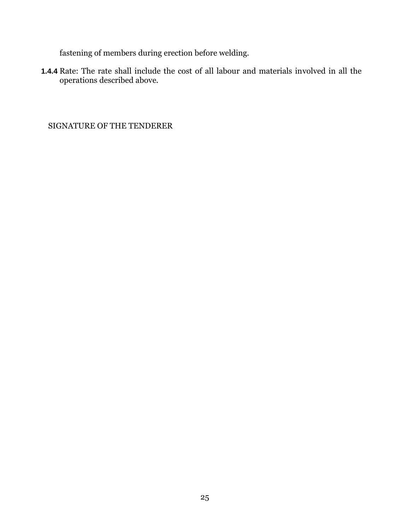fastening of members during erection before welding.

**1.4.4** Rate: The rate shall include the cost of all labour and materials involved in all the operations described above.

SIGNATURE OF THE TENDERER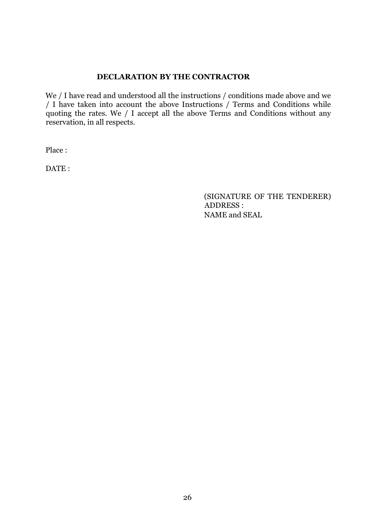#### **DECLARATION BY THE CONTRACTOR**

We / I have read and understood all the instructions / conditions made above and we / I have taken into account the above Instructions / Terms and Conditions while quoting the rates. We / I accept all the above Terms and Conditions without any reservation, in all respects.

Place :

DATE:

(SIGNATURE OF THE TENDERER) ADDRESS : NAME and SEAL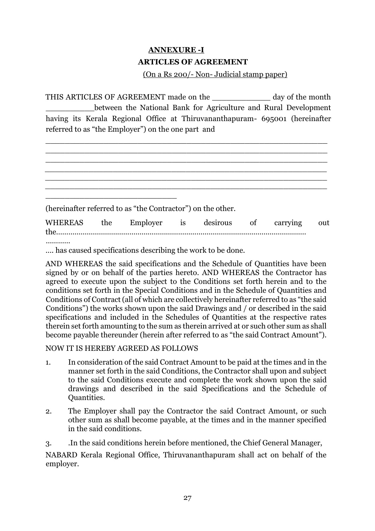## **ANNEXURE -I ARTICLES OF AGREEMENT**

### (On a Rs 200/- Non- Judicial stamp paper)

THIS ARTICLES OF AGREEMENT made on the \_\_\_\_\_\_\_\_\_\_\_\_ day of the month between the National Bank for Agriculture and Rural Development having its Kerala Regional Office at Thiruvananthapuram- 695001 (hereinafter referred to as "the Employer") on the one part and

\_\_\_\_\_\_\_\_\_\_\_\_\_\_\_\_\_\_\_\_\_\_\_\_\_\_\_\_\_\_\_\_\_\_\_\_\_\_\_\_\_\_\_\_\_\_\_\_\_\_\_\_\_\_\_\_\_\_

|             | (hereinafter referred to as "the Contractor") on the other. |                         |          |     |
|-------------|-------------------------------------------------------------|-------------------------|----------|-----|
| WHEREAS the |                                                             | Employer is desirous of | carrying | out |
|             |                                                             |                         |          |     |

…………

…. has caused specifications describing the work to be done.

AND WHEREAS the said specifications and the Schedule of Quantities have been signed by or on behalf of the parties hereto. AND WHEREAS the Contractor has agreed to execute upon the subject to the Conditions set forth herein and to the conditions set forth in the Special Conditions and in the Schedule of Quantities and Conditions of Contract (all of which are collectively hereinafter referred to as "the said Conditions") the works shown upon the said Drawings and / or described in the said specifications and included in the Schedules of Quantities at the respective rates therein set forth amounting to the sum as therein arrived at or such other sum as shall become payable thereunder (herein after referred to as "the said Contract Amount").

#### NOW IT IS HEREBY AGREED AS FOLLOWS

- 1. In consideration of the said Contract Amount to be paid at the times and in the manner set forth in the said Conditions, the Contractor shall upon and subject to the said Conditions execute and complete the work shown upon the said drawings and described in the said Specifications and the Schedule of Quantities.
- 2. The Employer shall pay the Contractor the said Contract Amount, or such other sum as shall become payable, at the times and in the manner specified in the said conditions.
- 3. .In the said conditions herein before mentioned, the Chief General Manager,

NABARD Kerala Regional Office, Thiruvananthapuram shall act on behalf of the employer.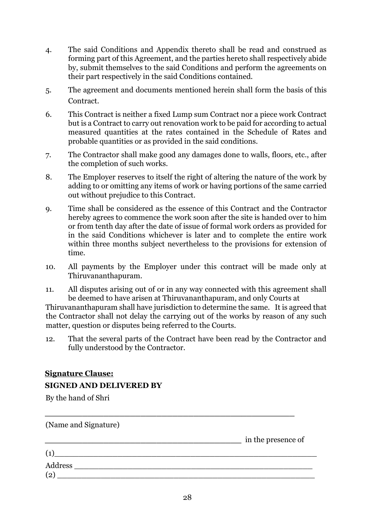- 4. The said Conditions and Appendix thereto shall be read and construed as forming part of this Agreement, and the parties hereto shall respectively abide by, submit themselves to the said Conditions and perform the agreements on their part respectively in the said Conditions contained.
- 5. The agreement and documents mentioned herein shall form the basis of this Contract.
- 6. This Contract is neither a fixed Lump sum Contract nor a piece work Contract but is a Contract to carry out renovation work to be paid for according to actual measured quantities at the rates contained in the Schedule of Rates and probable quantities or as provided in the said conditions.
- 7. The Contractor shall make good any damages done to walls, floors, etc., after the completion of such works.
- 8. The Employer reserves to itself the right of altering the nature of the work by adding to or omitting any items of work or having portions of the same carried out without prejudice to this Contract.
- 9. Time shall be considered as the essence of this Contract and the Contractor hereby agrees to commence the work soon after the site is handed over to him or from tenth day after the date of issue of formal work orders as provided for in the said Conditions whichever is later and to complete the entire work within three months subject nevertheless to the provisions for extension of time.
- 10. All payments by the Employer under this contract will be made only at Thiruvananthapuram.
- 11. All disputes arising out of or in any way connected with this agreement shall be deemed to have arisen at Thiruvananthapuram, and only Courts at

Thiruvananthapuram shall have jurisdiction to determine the same. It is agreed that the Contractor shall not delay the carrying out of the works by reason of any such matter, question or disputes being referred to the Courts.

12. That the several parts of the Contract have been read by the Contractor and fully understood by the Contractor.

## **Signature Clause: SIGNED AND DELIVERED BY**

By the hand of Shri

| (Name and Signature) |                    |
|----------------------|--------------------|
|                      | in the presence of |
| (1)                  |                    |
| Address              |                    |
| (2)                  |                    |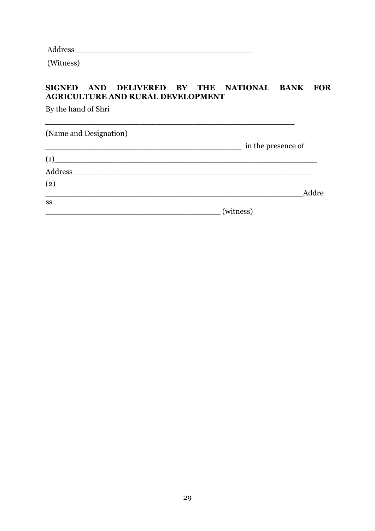Address \_\_\_\_\_\_\_\_\_\_\_\_\_\_\_\_\_\_\_\_\_\_\_\_\_\_\_\_\_\_\_\_\_\_\_\_

(Witness)

## **SIGNED AND DELIVERED BY THE NATIONAL BANK FOR AGRICULTURE AND RURAL DEVELOPMENT**

By the hand of Shri

(Name and Designation) **\_\_\_\_\_\_\_\_\_\_\_\_\_\_\_\_\_\_\_\_\_\_\_\_\_\_\_\_\_\_\_\_\_\_\_\_\_** in the presence of  $(1)$   $\overline{\phantom{a}}$ Address \_\_\_\_\_\_\_\_\_\_\_\_\_\_\_\_\_\_\_\_\_\_\_\_\_\_\_\_\_\_\_\_\_\_\_\_\_\_\_\_\_\_\_\_\_\_\_\_\_ (2) \_\_\_\_\_\_\_\_\_\_\_\_\_\_\_\_\_\_\_\_\_\_\_\_\_\_\_\_\_\_\_\_\_\_\_\_\_\_\_\_\_\_\_\_\_\_\_\_\_\_\_\_\_Addre ss \_\_\_\_\_\_\_\_\_\_\_\_\_\_\_\_\_\_\_\_\_\_\_\_\_\_\_\_\_\_\_\_\_\_\_\_ (witness)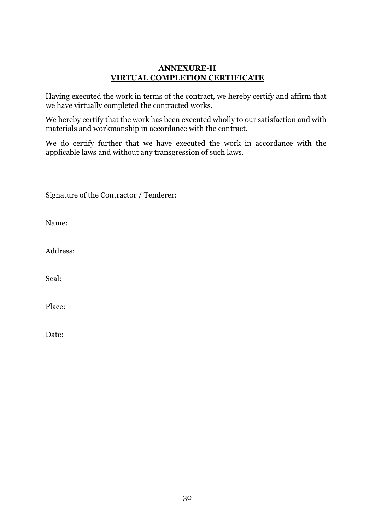#### **ANNEXURE-II VIRTUAL COMPLETION CERTIFICATE**

Having executed the work in terms of the contract, we hereby certify and affirm that we have virtually completed the contracted works.

We hereby certify that the work has been executed wholly to our satisfaction and with materials and workmanship in accordance with the contract.

We do certify further that we have executed the work in accordance with the applicable laws and without any transgression of such laws.

Signature of the Contractor / Tenderer:

Name:

Address:

Seal:

Place:

Date: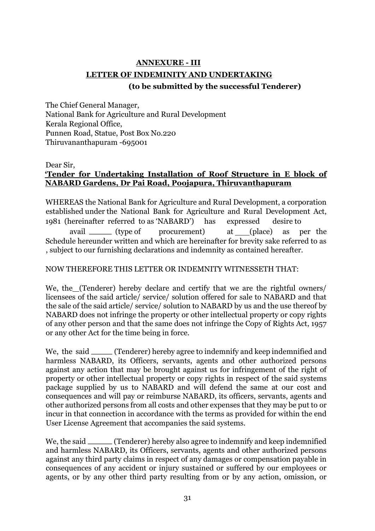# **ANNEXURE - III LETTER OF INDEMINITY AND UNDERTAKING**

## **(to be submitted by the successful Tenderer)**

The Chief General Manager, National Bank for Agriculture and Rural Development Kerala Regional Office, Punnen Road, Statue, Post Box No.220 Thiruvananthapuram -695001

Dear Sir,

## **'Tender for Undertaking Installation of Roof Structure in E block of NABARD Gardens, Dr Pai Road, Poojapura, Thiruvanthapuram**

WHEREAS the National Bank for Agriculture and Rural Development, a corporation established under the National Bank for Agriculture and Rural Development Act, 1981 (hereinafter referred to as 'NABARD') has expressed desire to avail (type of procurement) at (place) as per the Schedule hereunder written and which are hereinafter for brevity sake referred to as , subject to our furnishing declarations and indemnity as contained hereafter.

#### NOW THEREFORE THIS LETTER OR INDEMNITY WITNESSETH THAT:

We, the (Tenderer) hereby declare and certify that we are the rightful owners/ licensees of the said article/ service/ solution offered for sale to NABARD and that the sale of the said article/ service/ solution to NABARD by us and the use thereof by NABARD does not infringe the property or other intellectual property or copy rights of any other person and that the same does not infringe the Copy of Rights Act, 1957 or any other Act for the time being in force.

We, the said \_\_\_\_\_ (Tenderer) hereby agree to indemnify and keep indemnified and harmless NABARD, its Officers, servants, agents and other authorized persons against any action that may be brought against us for infringement of the right of property or other intellectual property or copy rights in respect of the said systems package supplied by us to NABARD and will defend the same at our cost and consequences and will pay or reimburse NABARD, its officers, servants, agents and other authorized persons from all costs and other expenses that they may be put to or incur in that connection in accordance with the terms as provided for within the end User License Agreement that accompanies the said systems.

We, the said (Tenderer) hereby also agree to indemnify and keep indemnified and harmless NABARD, its Officers, servants, agents and other authorized persons against any third party claims in respect of any damages or compensation payable in consequences of any accident or injury sustained or suffered by our employees or agents, or by any other third party resulting from or by any action, omission, or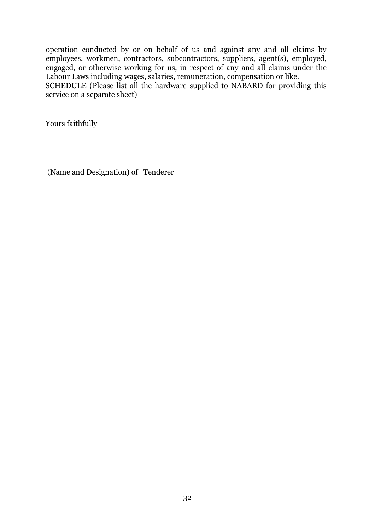operation conducted by or on behalf of us and against any and all claims by employees, workmen, contractors, subcontractors, suppliers, agent(s), employed, engaged, or otherwise working for us, in respect of any and all claims under the Labour Laws including wages, salaries, remuneration, compensation or like.

SCHEDULE (Please list all the hardware supplied to NABARD for providing this service on a separate sheet)

Yours faithfully

(Name and Designation) of Tenderer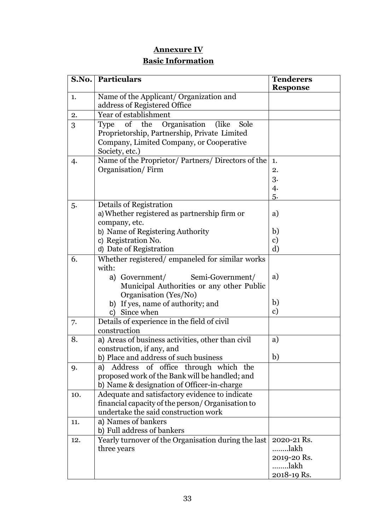## **Annexure IV Basic Information**

|     | <b>S.No. Particulars</b>                                                                                                                                                                                                  | <b>Tenderers</b><br><b>Response</b>                       |
|-----|---------------------------------------------------------------------------------------------------------------------------------------------------------------------------------------------------------------------------|-----------------------------------------------------------|
| 1.  | Name of the Applicant/ Organization and<br>address of Registered Office                                                                                                                                                   |                                                           |
| 2.  | Year of establishment                                                                                                                                                                                                     |                                                           |
| 3   | Type of the Organisation (like Sole<br>Proprietorship, Partnership, Private Limited<br>Company, Limited Company, or Cooperative<br>Society, etc.)                                                                         |                                                           |
| 4.  | Name of the Proprietor/ Partners/ Directors of the<br>Organisation/Firm                                                                                                                                                   | 1.<br>2.<br>3.<br>4.<br>5.                                |
| 5.  | Details of Registration<br>a) Whether registered as partnership firm or<br>company, etc.<br>b) Name of Registering Authority<br>c) Registration No.<br>d) Date of Registration                                            | a)<br>b)<br>$\mathbf{c})$<br>$\rm d)$                     |
| 6.  | Whether registered/empaneled for similar works<br>with:<br>a) Government/<br>Semi-Government/<br>Municipal Authorities or any other Public<br>Organisation (Yes/No)<br>b) If yes, name of authority; and<br>c) Since when | a)<br>b)<br>c)                                            |
| 7.  | Details of experience in the field of civil<br>construction                                                                                                                                                               |                                                           |
| 8.  | a) Areas of business activities, other than civil<br>construction, if any, and<br>b) Place and address of such business                                                                                                   | a)<br>b)                                                  |
| 9.  | of office through which the<br>Address<br>a)<br>proposed work of the Bank will be handled; and<br>b) Name & designation of Officer-in-charge                                                                              |                                                           |
| 10. | Adequate and satisfactory evidence to indicate<br>financial capacity of the person/ Organisation to<br>undertake the said construction work                                                                               |                                                           |
| 11. | a) Names of bankers<br>b) Full address of bankers                                                                                                                                                                         |                                                           |
| 12. | Yearly turnover of the Organisation during the last<br>three years                                                                                                                                                        | 2020-21 Rs.<br>lakh<br>2019-20 Rs.<br>lakh<br>2018-19 Rs. |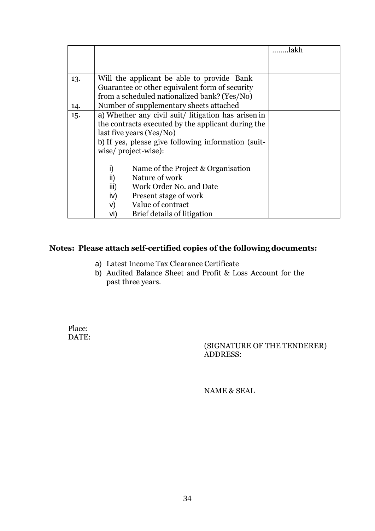|     |                                                     | lakh |
|-----|-----------------------------------------------------|------|
|     |                                                     |      |
|     |                                                     |      |
| 13. | Will the applicant be able to provide Bank          |      |
|     | Guarantee or other equivalent form of security      |      |
|     | from a scheduled nationalized bank? (Yes/No)        |      |
| 14. | Number of supplementary sheets attached             |      |
| 15. | a) Whether any civil suit/ litigation has arisen in |      |
|     | the contracts executed by the applicant during the  |      |
|     | last five years (Yes/No)                            |      |
|     | b) If yes, please give following information (suit- |      |
|     | wise/project-wise):                                 |      |
|     |                                                     |      |
|     | i)<br>Name of the Project & Organisation            |      |
|     | ii)<br>Nature of work                               |      |
|     | iii)<br>Work Order No. and Date                     |      |
|     | Present stage of work<br>iv)                        |      |
|     | Value of contract<br>V)                             |      |
|     | Brief details of litigation<br>VI)                  |      |

## **Notes: Please attach self-certified copies of the following documents:**

- a) Latest Income Tax Clearance Certificate
- b) Audited Balance Sheet and Profit & Loss Account for the past three years.

Place: DATE:

(SIGNATURE OF THE TENDERER) ADDRESS:

NAME & SEAL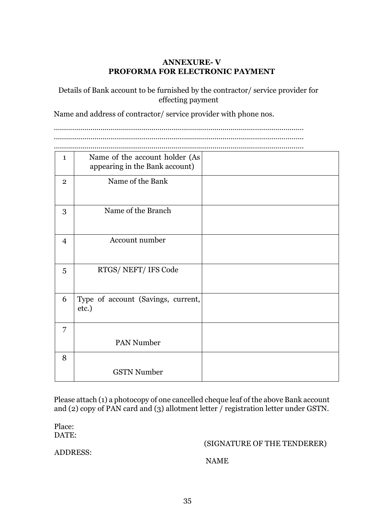### **ANNEXURE- V PROFORMA FOR ELECTRONIC PAYMENT**

Details of Bank account to be furnished by the contractor/ service provider for effecting payment

Name and address of contractor/ service provider with phone nos.

…………………………………………………………………………………………………………… ……………………………………………………………………………………………………………

……………………………………………………………………………………………………………

| $\mathbf{1}$   | Name of the account holder (As<br>appearing in the Bank account) |  |
|----------------|------------------------------------------------------------------|--|
| $\overline{2}$ | Name of the Bank                                                 |  |
| 3              | Name of the Branch                                               |  |
| $\overline{4}$ | Account number                                                   |  |
| 5              | RTGS/NEFT/IFS Code                                               |  |
| 6              | Type of account (Savings, current,<br>etc.)                      |  |
| 7              |                                                                  |  |
|                | <b>PAN Number</b>                                                |  |
| 8              |                                                                  |  |
|                | <b>GSTN Number</b>                                               |  |

Please attach (1) a photocopy of one cancelled cheque leaf of the above Bank account and (2) copy of PAN card and (3) allotment letter / registration letter under GSTN.

Place: DATE:

(SIGNATURE OF THE TENDERER)

ADDRESS:

NAME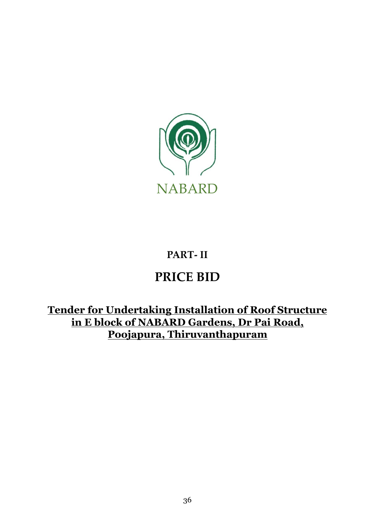

# **PART- II**

# **PRICE BID**

**Tender for Undertaking Installation of Roof Structure in E block of NABARD Gardens, Dr Pai Road, Poojapura, Thiruvanthapuram**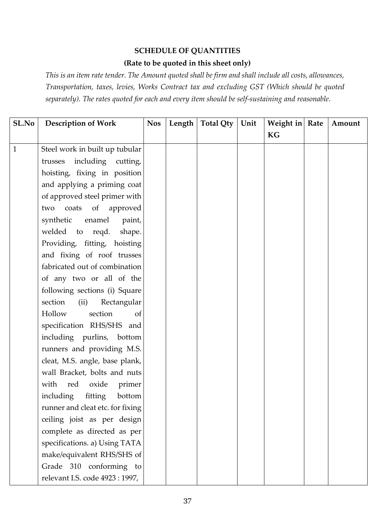#### **SCHEDULE OF QUANTITIES**

## **(Rate to be quoted in this sheet only)**

*This is an item rate tender. The Amount quoted shall be firm and shall include all costs, allowances, Transportation, taxes, levies, Works Contract tax and excluding GST (Which should be quoted separately). The rates quoted for each and every item should be self-sustaining and reasonable.* 

| SL.No        | <b>Description of Work</b>       | <b>Nos</b> | Length | <b>Total Qty</b> | Unit | Weight in Rate | Amount |
|--------------|----------------------------------|------------|--------|------------------|------|----------------|--------|
|              |                                  |            |        |                  |      | KG             |        |
| $\mathbf{1}$ | Steel work in built up tubular   |            |        |                  |      |                |        |
|              | including cutting,<br>trusses    |            |        |                  |      |                |        |
|              | hoisting, fixing in position     |            |        |                  |      |                |        |
|              | and applying a priming coat      |            |        |                  |      |                |        |
|              | of approved steel primer with    |            |        |                  |      |                |        |
|              | coats of approved<br>two         |            |        |                  |      |                |        |
|              | synthetic<br>enamel<br>paint,    |            |        |                  |      |                |        |
|              | welded to reqd.<br>shape.        |            |        |                  |      |                |        |
|              | Providing, fitting, hoisting     |            |        |                  |      |                |        |
|              | and fixing of roof trusses       |            |        |                  |      |                |        |
|              | fabricated out of combination    |            |        |                  |      |                |        |
|              | of any two or all of the         |            |        |                  |      |                |        |
|              | following sections (i) Square    |            |        |                  |      |                |        |
|              | Rectangular<br>section<br>(ii)   |            |        |                  |      |                |        |
|              | Hollow<br>section<br>of          |            |        |                  |      |                |        |
|              | specification RHS/SHS and        |            |        |                  |      |                |        |
|              | including purlins, bottom        |            |        |                  |      |                |        |
|              | runners and providing M.S.       |            |        |                  |      |                |        |
|              | cleat, M.S. angle, base plank,   |            |        |                  |      |                |        |
|              | wall Bracket, bolts and nuts     |            |        |                  |      |                |        |
|              | with red<br>oxide<br>primer      |            |        |                  |      |                |        |
|              | including<br>fitting<br>bottom   |            |        |                  |      |                |        |
|              | runner and cleat etc. for fixing |            |        |                  |      |                |        |
|              | ceiling joist as per design      |            |        |                  |      |                |        |
|              | complete as directed as per      |            |        |                  |      |                |        |
|              | specifications. a) Using TATA    |            |        |                  |      |                |        |
|              | make/equivalent RHS/SHS of       |            |        |                  |      |                |        |
|              | Grade 310 conforming to          |            |        |                  |      |                |        |
|              | relevant I.S. code 4923 : 1997,  |            |        |                  |      |                |        |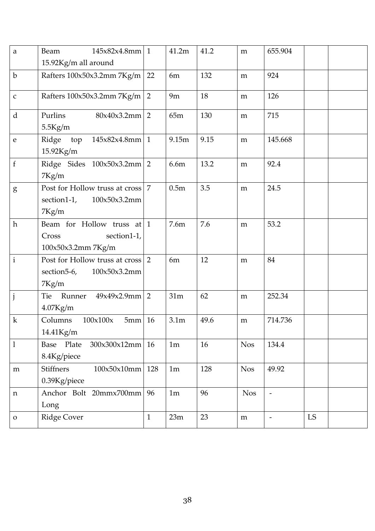| $\mathbf{a}$ | $145x82x4.8mm$ 1<br>Beam                                                  |                | 41.2m            | 41.2 | m          | 655.904                  |    |  |
|--------------|---------------------------------------------------------------------------|----------------|------------------|------|------------|--------------------------|----|--|
| $\mathbf b$  | 15.92Kg/m all around                                                      | 22             | 6m               | 132  |            | 924                      |    |  |
|              | Rafters 100x50x3.2mm 7Kg/m                                                |                |                  |      | m          |                          |    |  |
| $\mathbf C$  | Rafters 100x50x3.2mm 7Kg/m                                                | 2              | 9m               | 18   | m          | 126                      |    |  |
| d            | $80x40x3.2mm$ 2<br>Purlins<br>$5.5$ Kg/m                                  |                | 65m              | 130  | m          | 715                      |    |  |
| $\mathbf{e}$ | $145x82x4.8mm$ 1<br>Ridge<br>top<br>15.92Kg/m                             |                | 9.15m            | 9.15 | m          | 145.668                  |    |  |
| $\mathbf f$  | Ridge Sides 100x50x3.2mm 2<br>7Kg/m                                       |                | 6.6m             | 13.2 | m          | 92.4                     |    |  |
| g            | Post for Hollow truss at cross<br>section1-1,<br>100x50x3.2mm<br>7Kg/m    | $\overline{7}$ | 0.5 <sub>m</sub> | 3.5  | m          | 24.5                     |    |  |
| $\hbar$      | Beam for Hollow truss at $1$<br>Cross<br>section1-1,<br>100x50x3.2mm7Kg/m |                | 7.6m             | 7.6  | m          | 53.2                     |    |  |
| $\mathbf{i}$ | Post for Hollow truss at cross 2<br>section5-6,<br>100x50x3.2mm<br>7Kg/m  |                | 6m               | 12   | m          | 84                       |    |  |
| $\mathbf{j}$ | $49x49x2.9mm$ 2<br>Tie<br>Runner<br>$4.07$ Kg/m                           |                | 31m              | 62   | m          | 252.34                   |    |  |
| $\mathbf k$  | Columns<br>100x100x<br>5mm<br>14.41Kg/m                                   | 16             | 3.1 <sub>m</sub> | 49.6 | m          | 714.736                  |    |  |
| $\mathbf{1}$ | Base Plate<br>300x300x12mm<br>8.4Kg/piece                                 | 16             | 1m               | 16   | <b>Nos</b> | 134.4                    |    |  |
| ${\bf m}$    | <b>Stiffners</b><br>100x50x10mm<br>0.39Kg/piece                           | 128            | 1 <sub>m</sub>   | 128  | <b>Nos</b> | 49.92                    |    |  |
| $\mathbf n$  | Anchor Bolt 20mmx700mm<br>Long                                            | 96             | 1 <sub>m</sub>   | 96   | <b>Nos</b> | $\overline{\phantom{m}}$ |    |  |
| $\mathbf{O}$ | <b>Ridge Cover</b>                                                        | $\mathbf{1}$   | 23m              | 23   | ${\bf m}$  | $\overline{\phantom{a}}$ | LS |  |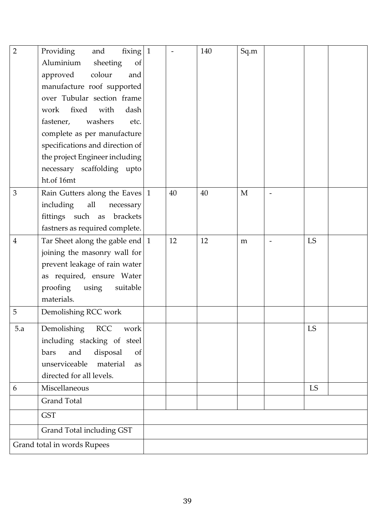| $\overline{2}$ | Providing<br>fixing<br>and<br>Aluminium<br>of<br>sheeting<br>colour<br>approved<br>and<br>manufacture roof supported<br>over Tubular section frame<br>fixed<br>with<br>dash<br>work<br>fastener,<br>washers<br>etc.<br>complete as per manufacture | $\vert$ 1 |    | 140 | Sq.m |            |  |
|----------------|----------------------------------------------------------------------------------------------------------------------------------------------------------------------------------------------------------------------------------------------------|-----------|----|-----|------|------------|--|
|                | specifications and direction of<br>the project Engineer including<br>necessary scaffolding upto<br>ht.of 16mt                                                                                                                                      |           |    |     |      |            |  |
| 3              | Rain Gutters along the Eaves 1<br>including<br>all<br>necessary<br>fittings such as brackets<br>fastners as required complete.                                                                                                                     |           | 40 | 40  | M    |            |  |
| $\overline{4}$ | Tar Sheet along the gable end $\vert$ 1<br>joining the masonry wall for<br>prevent leakage of rain water<br>as required, ensure Water<br>proofing<br>using<br>suitable<br>materials.                                                               |           | 12 | 12  | m    | LS         |  |
| 5              | Demolishing RCC work                                                                                                                                                                                                                               |           |    |     |      |            |  |
| 5.a            | Demolishing RCC<br>work<br>including stacking of steel<br>disposal<br>and<br>bars<br>of<br>material<br>unserviceable<br>as<br>directed for all levels.                                                                                             |           |    |     |      | ${\rm LS}$ |  |
| 6              | Miscellaneous                                                                                                                                                                                                                                      |           |    |     |      | LS         |  |
|                | Grand Total                                                                                                                                                                                                                                        |           |    |     |      |            |  |
|                | <b>GST</b>                                                                                                                                                                                                                                         |           |    |     |      |            |  |
|                | Grand Total including GST                                                                                                                                                                                                                          |           |    |     |      |            |  |
|                | Grand total in words Rupees                                                                                                                                                                                                                        |           |    |     |      |            |  |